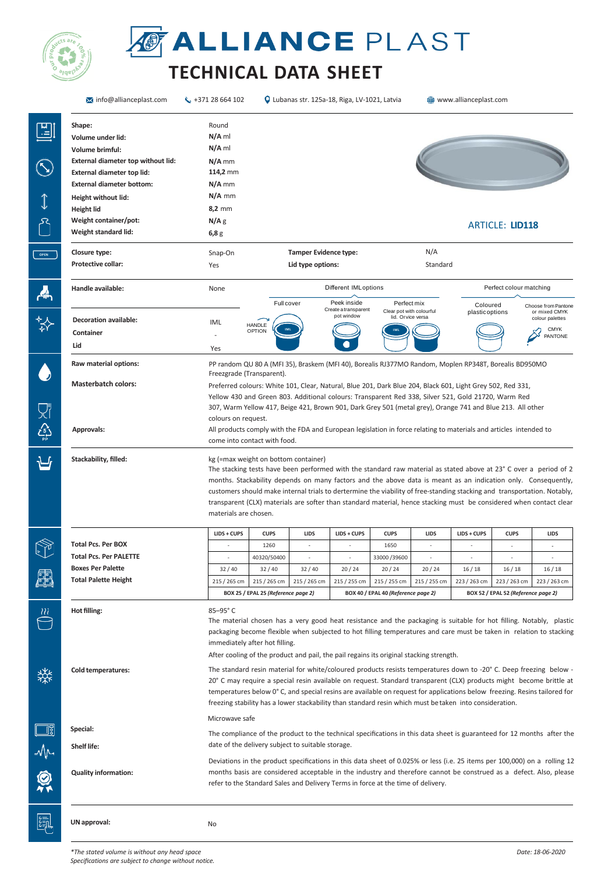

## **OF ALLIANCE PLAST**

## **TECHNICAL DATA SHEET**

| $\overline{\mathsf{M}}$ info@allianceplast.com                                                                                                                                | $\binom{1}{2}$ +371 28 664 102                                                |                                                                                                                                                                                                                                                                                                                                                                                                                                                                                                                                                                                                                                                                                                                                                                                                                                                            | Q Lubanas str. 125a-18, Riga, LV-1021, Latvia     |                                                      |                                                               |                          | www.allianceplast.com                                |                        |                                                                                   |  |  |
|-------------------------------------------------------------------------------------------------------------------------------------------------------------------------------|-------------------------------------------------------------------------------|------------------------------------------------------------------------------------------------------------------------------------------------------------------------------------------------------------------------------------------------------------------------------------------------------------------------------------------------------------------------------------------------------------------------------------------------------------------------------------------------------------------------------------------------------------------------------------------------------------------------------------------------------------------------------------------------------------------------------------------------------------------------------------------------------------------------------------------------------------|---------------------------------------------------|------------------------------------------------------|---------------------------------------------------------------|--------------------------|------------------------------------------------------|------------------------|-----------------------------------------------------------------------------------|--|--|
| Shape:<br>Volume under lid:<br>Volume brimful:<br>External diameter top without lid:<br>External diameter top lid:<br><b>External diameter bottom:</b><br>Height without lid: | Round<br>$N/A$ ml<br>$N/A$ ml<br>$N/A$ mm<br>114,2 mm<br>$N/A$ mm<br>$N/A$ mm |                                                                                                                                                                                                                                                                                                                                                                                                                                                                                                                                                                                                                                                                                                                                                                                                                                                            |                                                   |                                                      |                                                               |                          |                                                      |                        |                                                                                   |  |  |
| <b>Height lid</b><br>Weight container/pot:<br>Weight standard lid:                                                                                                            | $8,2$ mm<br>N/A <sub>g</sub><br>6,8g                                          |                                                                                                                                                                                                                                                                                                                                                                                                                                                                                                                                                                                                                                                                                                                                                                                                                                                            |                                                   |                                                      |                                                               |                          |                                                      | <b>ARTICLE: LID118</b> |                                                                                   |  |  |
| Closure type:<br><b>Protective collar:</b>                                                                                                                                    | Snap-On<br>Yes                                                                |                                                                                                                                                                                                                                                                                                                                                                                                                                                                                                                                                                                                                                                                                                                                                                                                                                                            | <b>Tamper Evidence type:</b><br>Lid type options: |                                                      |                                                               | N/A<br>Standard          |                                                      |                        |                                                                                   |  |  |
| Handle available:                                                                                                                                                             | None                                                                          | <b>Different IMLoptions</b>                                                                                                                                                                                                                                                                                                                                                                                                                                                                                                                                                                                                                                                                                                                                                                                                                                |                                                   |                                                      | Perfect colour matching                                       |                          |                                                      |                        |                                                                                   |  |  |
| <b>Decoration available:</b><br>Container<br>Lid                                                                                                                              | IML<br>Yes                                                                    | Full cover<br><b>HANDLE</b><br><b>OPTION</b>                                                                                                                                                                                                                                                                                                                                                                                                                                                                                                                                                                                                                                                                                                                                                                                                               |                                                   | Peek inside<br>Create a transparent<br>pot window    | Perfect mix<br>Clear pot with colourful<br>lid. Or vice versa |                          | Coloured<br>plastic options                          |                        | Choose from Pantone<br>or mixed CMYK<br>colour palettes<br><b>CMYK</b><br>PANTONE |  |  |
| Raw material options:                                                                                                                                                         | Freezgrade (Transparent).                                                     | PP random QU 80 A (MFI 35), Braskem (MFI 40), Borealis RJ377MO Random, Moplen RP348T, Borealis BD950MO                                                                                                                                                                                                                                                                                                                                                                                                                                                                                                                                                                                                                                                                                                                                                     |                                                   |                                                      |                                                               |                          |                                                      |                        |                                                                                   |  |  |
| <b>Masterbatch colors:</b><br>Approvals:                                                                                                                                      | colours on request.                                                           | Preferred colours: White 101, Clear, Natural, Blue 201, Dark Blue 204, Black 601, Light Grey 502, Red 331,<br>Yellow 430 and Green 803. Additional colours: Transparent Red 338, Silver 521, Gold 21720, Warm Red<br>307, Warm Yellow 417, Beige 421, Brown 901, Dark Grey 501 (metal grey), Orange 741 and Blue 213. All other<br>All products comply with the FDA and European legislation in force relating to materials and articles intended to<br>come into contact with food.                                                                                                                                                                                                                                                                                                                                                                       |                                                   |                                                      |                                                               |                          |                                                      |                        |                                                                                   |  |  |
| Stackability, filled:                                                                                                                                                         | materials are chosen.                                                         | kg (=max weight on bottom container)<br>The stacking tests have been performed with the standard raw material as stated above at 23° C over a period of 2<br>months. Stackability depends on many factors and the above data is meant as an indication only. Consequently,<br>customers should make internal trials to dertermine the viability of free-standing stacking and transportation. Notably,<br>transparent (CLX) materials are softer than standard material, hence stacking must be considered when contact clear                                                                                                                                                                                                                                                                                                                              |                                                   |                                                      |                                                               |                          |                                                      |                        |                                                                                   |  |  |
|                                                                                                                                                                               | LIDS + CUPS                                                                   | <b>CUPS</b>                                                                                                                                                                                                                                                                                                                                                                                                                                                                                                                                                                                                                                                                                                                                                                                                                                                | LIDS                                              | $LIDS + CUPS$                                        | <b>CUPS</b>                                                   | <b>LIDS</b>              | LIDS + CUPS                                          | <b>CUPS</b>            | LIDS                                                                              |  |  |
| Total Pcs. Per BOX<br><b>Total Pcs. Per PALETTE</b>                                                                                                                           | $\overline{\phantom{a}}$<br>$\overline{\phantom{a}}$                          | 1260<br>40320/50400                                                                                                                                                                                                                                                                                                                                                                                                                                                                                                                                                                                                                                                                                                                                                                                                                                        | ٠                                                 | $\overline{\phantom{a}}$<br>$\overline{\phantom{a}}$ | 1650<br>33000/39600                                           | $\overline{\phantom{a}}$ | $\overline{\phantom{a}}$<br>$\overline{\phantom{a}}$ | ٠                      |                                                                                   |  |  |
| <b>Boxes Per Palette</b>                                                                                                                                                      | 32/40                                                                         | 32/40                                                                                                                                                                                                                                                                                                                                                                                                                                                                                                                                                                                                                                                                                                                                                                                                                                                      | 32/40                                             | 20/24                                                | 20/24                                                         | 20/24                    | 16/18                                                | 16/18                  | 16/18                                                                             |  |  |
| <b>Total Palette Height</b>                                                                                                                                                   | 215 / 265 cm                                                                  | 215 / 265 cm                                                                                                                                                                                                                                                                                                                                                                                                                                                                                                                                                                                                                                                                                                                                                                                                                                               | 215 / 265 cm                                      | 215 / 255 cm                                         | 215 / 255 cm                                                  | 215 / 255 cm             | 223 / 263 cm                                         | 223 / 263 cm           | 223 / 263 cm                                                                      |  |  |
|                                                                                                                                                                               |                                                                               | BOX 25 / EPAL 25 (Reference page 2)<br>BOX 40 / EPAL 40 (Reference page 2)<br>BOX 52 / EPAL 52 (Reference page 2)                                                                                                                                                                                                                                                                                                                                                                                                                                                                                                                                                                                                                                                                                                                                          |                                                   |                                                      |                                                               |                          |                                                      |                        |                                                                                   |  |  |
| Hot filling:<br><b>Cold temperatures:</b>                                                                                                                                     | 85-95°C                                                                       | The material chosen has a very good heat resistance and the packaging is suitable for hot filling. Notably, plastic<br>packaging become flexible when subjected to hot filling temperatures and care must be taken in relation to stacking<br>immediately after hot filling.<br>After cooling of the product and pail, the pail regains its original stacking strength.<br>The standard resin material for white/coloured products resists temperatures down to -20° C. Deep freezing below -<br>20° C may require a special resin available on request. Standard transparent (CLX) products might become brittle at<br>temperatures below 0°C, and special resins are available on request for applications below freezing. Resins tailored for<br>freezing stability has a lower stackability than standard resin which must betaken into consideration. |                                                   |                                                      |                                                               |                          |                                                      |                        |                                                                                   |  |  |
| Special:                                                                                                                                                                      | Microwave safe                                                                |                                                                                                                                                                                                                                                                                                                                                                                                                                                                                                                                                                                                                                                                                                                                                                                                                                                            |                                                   |                                                      |                                                               |                          |                                                      |                        |                                                                                   |  |  |
| Shelf life:                                                                                                                                                                   |                                                                               | The compliance of the product to the technical specifications in this data sheet is guaranteed for 12 months after the<br>date of the delivery subject to suitable storage.                                                                                                                                                                                                                                                                                                                                                                                                                                                                                                                                                                                                                                                                                |                                                   |                                                      |                                                               |                          |                                                      |                        |                                                                                   |  |  |
| <b>Quality information:</b>                                                                                                                                                   |                                                                               | Deviations in the product specifications in this data sheet of 0.025% or less (i.e. 25 items per 100,000) on a rolling 12<br>months basis are considered acceptable in the industry and therefore cannot be construed as a defect. Also, please<br>refer to the Standard Sales and Delivery Terms in force at the time of delivery.                                                                                                                                                                                                                                                                                                                                                                                                                                                                                                                        |                                                   |                                                      |                                                               |                          |                                                      |                        |                                                                                   |  |  |
| UN approval:                                                                                                                                                                  |                                                                               |                                                                                                                                                                                                                                                                                                                                                                                                                                                                                                                                                                                                                                                                                                                                                                                                                                                            |                                                   |                                                      |                                                               |                          |                                                      |                        |                                                                                   |  |  |